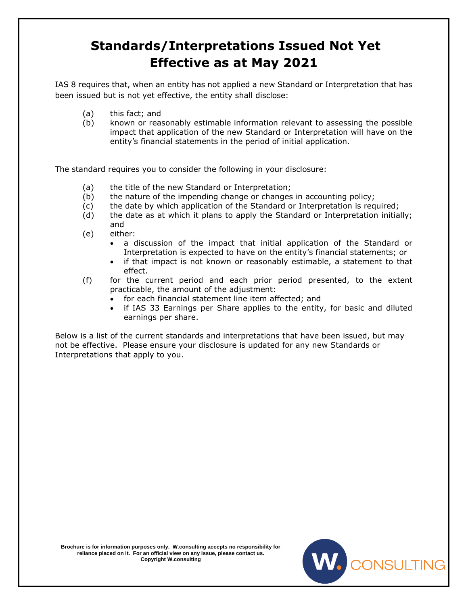## **Standards/Interpretations Issued Not Yet Effective as at May 2021**

IAS 8 requires that, when an entity has not applied a new Standard or Interpretation that has been issued but is not yet effective, the entity shall disclose:

- (a) this fact; and
- (b) known or reasonably estimable information relevant to assessing the possible impact that application of the new Standard or Interpretation will have on the entity's financial statements in the period of initial application.

The standard requires you to consider the following in your disclosure:

- (a) the title of the new Standard or Interpretation;
- (b) the nature of the impending change or changes in accounting policy;
- (c) the date by which application of the Standard or Interpretation is required;
- (d) the date as at which it plans to apply the Standard or Interpretation initially; and
- (e) either:
	- a discussion of the impact that initial application of the Standard or Interpretation is expected to have on the entity's financial statements; or
	- if that impact is not known or reasonably estimable, a statement to that effect.
- (f) for the current period and each prior period presented, to the extent practicable, the amount of the adjustment:
	- for each financial statement line item affected; and
	- if IAS 33 Earnings per Share applies to the entity, for basic and diluted earnings per share.

Below is a list of the current standards and interpretations that have been issued, but may not be effective. Please ensure your disclosure is updated for any new Standards or Interpretations that apply to you.



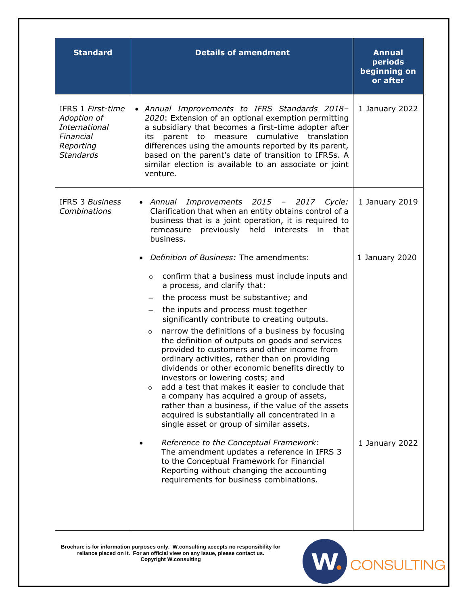| <b>Standard</b>                                                                                 | <b>Details of amendment</b>                                                                                                                                                                                                                                                                                                                                                                                                                                                                                                                                                                                                                                                                                                                                                                                                                                             | <b>Annual</b><br>periods<br>beginning on<br>or after |
|-------------------------------------------------------------------------------------------------|-------------------------------------------------------------------------------------------------------------------------------------------------------------------------------------------------------------------------------------------------------------------------------------------------------------------------------------------------------------------------------------------------------------------------------------------------------------------------------------------------------------------------------------------------------------------------------------------------------------------------------------------------------------------------------------------------------------------------------------------------------------------------------------------------------------------------------------------------------------------------|------------------------------------------------------|
| IFRS 1 First-time<br>Adoption of<br>International<br>Financial<br>Reporting<br><b>Standards</b> | • Annual Improvements to IFRS Standards 2018-<br>2020: Extension of an optional exemption permitting<br>a subsidiary that becomes a first-time adopter after<br>parent to measure cumulative translation<br>its<br>differences using the amounts reported by its parent,<br>based on the parent's date of transition to IFRSs. A<br>similar election is available to an associate or joint<br>venture.                                                                                                                                                                                                                                                                                                                                                                                                                                                                  | 1 January 2022                                       |
| <b>IFRS 3 Business</b><br>Combinations                                                          | Improvements 2015 - 2017 Cycle:<br>• Annual<br>Clarification that when an entity obtains control of a<br>business that is a joint operation, it is required to<br>previously held interests in<br>remeasure<br>that<br>business.                                                                                                                                                                                                                                                                                                                                                                                                                                                                                                                                                                                                                                        | 1 January 2019                                       |
|                                                                                                 | Definition of Business: The amendments:<br>confirm that a business must include inputs and<br>$\circ$<br>a process, and clarify that:<br>the process must be substantive; and<br>the inputs and process must together<br>$\qquad \qquad -$<br>significantly contribute to creating outputs.<br>narrow the definitions of a business by focusing<br>$\circ$<br>the definition of outputs on goods and services<br>provided to customers and other income from<br>ordinary activities, rather than on providing<br>dividends or other economic benefits directly to<br>investors or lowering costs; and<br>add a test that makes it easier to conclude that<br>$\Omega$<br>a company has acquired a group of assets,<br>rather than a business, if the value of the assets<br>acquired is substantially all concentrated in a<br>single asset or group of similar assets. | 1 January 2020                                       |
|                                                                                                 | Reference to the Conceptual Framework:<br>The amendment updates a reference in IFRS 3<br>to the Conceptual Framework for Financial<br>Reporting without changing the accounting<br>requirements for business combinations.                                                                                                                                                                                                                                                                                                                                                                                                                                                                                                                                                                                                                                              | 1 January 2022                                       |

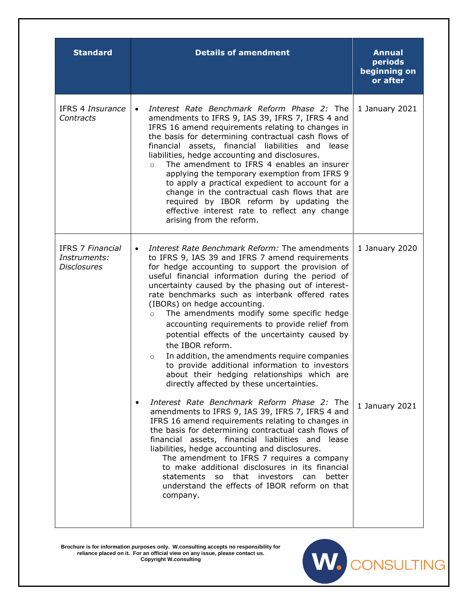| <b>Standard</b>                                               | <b>Details of amendment</b>                                                                                                                                                                                                                                                                                                                                                                                                                                                                                                                                                                                                                                                                                                                                                                                                                                                | <b>Annual</b><br>periods<br>beginning on<br>or after |
|---------------------------------------------------------------|----------------------------------------------------------------------------------------------------------------------------------------------------------------------------------------------------------------------------------------------------------------------------------------------------------------------------------------------------------------------------------------------------------------------------------------------------------------------------------------------------------------------------------------------------------------------------------------------------------------------------------------------------------------------------------------------------------------------------------------------------------------------------------------------------------------------------------------------------------------------------|------------------------------------------------------|
| IFRS 4 Insurance<br>Contracts                                 | Interest Rate Benchmark Reform Phase 2: The<br>$\bullet$<br>amendments to IFRS 9, IAS 39, IFRS 7, IFRS 4 and<br>IFRS 16 amend requirements relating to changes in<br>the basis for determining contractual cash flows of<br>financial assets, financial liabilities and<br>lease<br>liabilities, hedge accounting and disclosures.<br>The amendment to IFRS 4 enables an insurer<br>$\circ$<br>applying the temporary exemption from IFRS 9<br>to apply a practical expedient to account for a<br>change in the contractual cash flows that are<br>required by IBOR reform by updating the<br>effective interest rate to reflect any change<br>arising from the reform.                                                                                                                                                                                                    | 1 January 2021                                       |
| <b>IFRS 7 Financial</b><br>Instruments:<br><b>Disclosures</b> | Interest Rate Benchmark Reform: The amendments<br>$\bullet$<br>to IFRS 9, IAS 39 and IFRS 7 amend requirements<br>for hedge accounting to support the provision of<br>useful financial information during the period of<br>uncertainty caused by the phasing out of interest-<br>rate benchmarks such as interbank offered rates<br>(IBORs) on hedge accounting.<br>The amendments modify some specific hedge<br>$\circ$<br>accounting requirements to provide relief from<br>potential effects of the uncertainty caused by<br>the IBOR reform.<br>In addition, the amendments require companies<br>$\circ$<br>to provide additional information to investors<br>about their hedging relationships which are<br>directly affected by these uncertainties.<br>Interest Rate Benchmark Reform Phase 2: The<br>$\bullet$<br>amendments to IFRS 9, IAS 39, IFRS 7, IFRS 4 and | 1 January 2020<br>1 January 2021                     |
|                                                               | IFRS 16 amend requirements relating to changes in<br>the basis for determining contractual cash flows of<br>financial assets, financial liabilities and<br>lease<br>liabilities, hedge accounting and disclosures.<br>The amendment to IFRS 7 requires a company<br>to make additional disclosures in its financial<br>statements so that investors can<br>better<br>understand the effects of IBOR reform on that<br>company.                                                                                                                                                                                                                                                                                                                                                                                                                                             |                                                      |

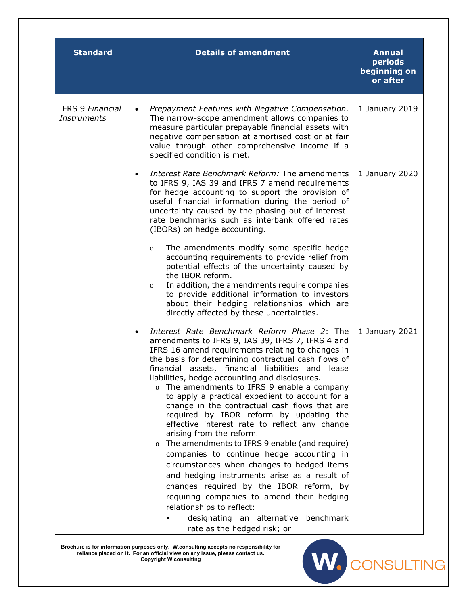| <b>Standard</b>                               | <b>Details of amendment</b>                                                                                                                                                                                                                                                                                                                                                                                                                                                                                                                                                                                                                      | <b>Annual</b><br>periods<br>beginning on<br>or after |
|-----------------------------------------------|--------------------------------------------------------------------------------------------------------------------------------------------------------------------------------------------------------------------------------------------------------------------------------------------------------------------------------------------------------------------------------------------------------------------------------------------------------------------------------------------------------------------------------------------------------------------------------------------------------------------------------------------------|------------------------------------------------------|
| <b>IFRS 9 Financial</b><br><b>Instruments</b> | Prepayment Features with Negative Compensation.<br>$\bullet$<br>The narrow-scope amendment allows companies to<br>measure particular prepayable financial assets with<br>negative compensation at amortised cost or at fair<br>value through other comprehensive income if a<br>specified condition is met.                                                                                                                                                                                                                                                                                                                                      | 1 January 2019                                       |
|                                               | Interest Rate Benchmark Reform: The amendments<br>$\bullet$<br>to IFRS 9, IAS 39 and IFRS 7 amend requirements<br>for hedge accounting to support the provision of<br>useful financial information during the period of<br>uncertainty caused by the phasing out of interest-<br>rate benchmarks such as interbank offered rates<br>(IBORs) on hedge accounting.                                                                                                                                                                                                                                                                                 | 1 January 2020                                       |
|                                               | The amendments modify some specific hedge<br>0<br>accounting requirements to provide relief from<br>potential effects of the uncertainty caused by<br>the IBOR reform.<br>In addition, the amendments require companies<br>0<br>to provide additional information to investors<br>about their hedging relationships which are<br>directly affected by these uncertainties.                                                                                                                                                                                                                                                                       |                                                      |
|                                               | Interest Rate Benchmark Reform Phase 2: The<br>amendments to IFRS 9, IAS 39, IFRS 7, IFRS 4 and<br>IFRS 16 amend requirements relating to changes in<br>the basis for determining contractual cash flows of<br>financial assets, financial liabilities and lease<br>liabilities, hedge accounting and disclosures.<br>o The amendments to IFRS 9 enable a company<br>to apply a practical expedient to account for a<br>change in the contractual cash flows that are<br>required by IBOR reform by updating the<br>effective interest rate to reflect any change<br>arising from the reform.<br>o The amendments to IFRS 9 enable (and require) | 1 January 2021                                       |
|                                               | companies to continue hedge accounting in<br>circumstances when changes to hedged items<br>and hedging instruments arise as a result of<br>changes required by the IBOR reform, by<br>requiring companies to amend their hedging<br>relationships to reflect:<br>designating an alternative benchmark<br>rate as the hedged risk; or                                                                                                                                                                                                                                                                                                             |                                                      |

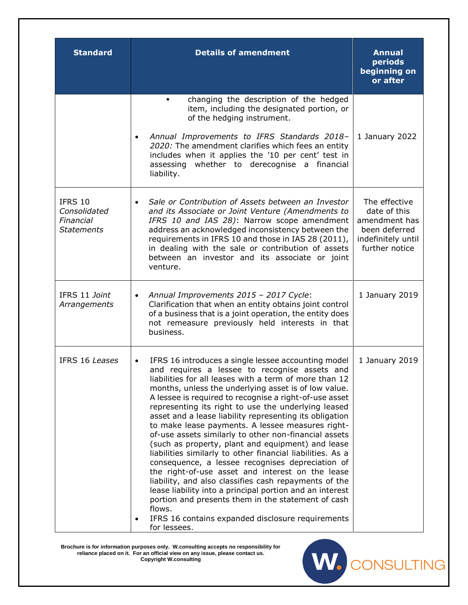| <b>Standard</b>                                           | <b>Details of amendment</b>                                                                                                                                                                                                                                                                                                                                                                                                                                                                                                                                                                                                                                                                                                                                                                                                                                                                                                                                                                                                    | <b>Annual</b><br>periods<br>beginning on<br>or after                                                    |
|-----------------------------------------------------------|--------------------------------------------------------------------------------------------------------------------------------------------------------------------------------------------------------------------------------------------------------------------------------------------------------------------------------------------------------------------------------------------------------------------------------------------------------------------------------------------------------------------------------------------------------------------------------------------------------------------------------------------------------------------------------------------------------------------------------------------------------------------------------------------------------------------------------------------------------------------------------------------------------------------------------------------------------------------------------------------------------------------------------|---------------------------------------------------------------------------------------------------------|
|                                                           | changing the description of the hedged<br>٠<br>item, including the designated portion, or<br>of the hedging instrument.                                                                                                                                                                                                                                                                                                                                                                                                                                                                                                                                                                                                                                                                                                                                                                                                                                                                                                        |                                                                                                         |
|                                                           | Annual Improvements to IFRS Standards 2018-<br>$\bullet$<br>2020: The amendment clarifies which fees an entity<br>includes when it applies the '10 per cent' test in<br>assessing whether to derecognise a financial<br>liability.                                                                                                                                                                                                                                                                                                                                                                                                                                                                                                                                                                                                                                                                                                                                                                                             | 1 January 2022                                                                                          |
| IFRS 10<br>Consolidated<br>Financial<br><b>Statements</b> | Sale or Contribution of Assets between an Investor<br>$\bullet$<br>and its Associate or Joint Venture (Amendments to<br>IFRS 10 and IAS 28): Narrow scope amendment<br>address an acknowledged inconsistency between the<br>requirements in IFRS 10 and those in IAS 28 (2011),<br>in dealing with the sale or contribution of assets<br>between an investor and its associate or joint<br>venture.                                                                                                                                                                                                                                                                                                                                                                                                                                                                                                                                                                                                                            | The effective<br>date of this<br>amendment has<br>been deferred<br>indefinitely until<br>further notice |
| IFRS 11 Joint<br>Arrangements                             | Annual Improvements 2015 - 2017 Cycle:<br>$\bullet$<br>Clarification that when an entity obtains joint control<br>of a business that is a joint operation, the entity does<br>not remeasure previously held interests in that<br>business.                                                                                                                                                                                                                                                                                                                                                                                                                                                                                                                                                                                                                                                                                                                                                                                     | 1 January 2019                                                                                          |
| IFRS 16 Leases                                            | IFRS 16 introduces a single lessee accounting model<br>$\bullet$<br>and requires a lessee to recognise assets and<br>liabilities for all leases with a term of more than 12<br>months, unless the underlying asset is of low value.<br>A lessee is required to recognise a right-of-use asset<br>representing its right to use the underlying leased<br>asset and a lease liability representing its obligation<br>to make lease payments. A lessee measures right-<br>of-use assets similarly to other non-financial assets<br>(such as property, plant and equipment) and lease<br>liabilities similarly to other financial liabilities. As a<br>consequence, a lessee recognises depreciation of<br>the right-of-use asset and interest on the lease<br>liability, and also classifies cash repayments of the<br>lease liability into a principal portion and an interest<br>portion and presents them in the statement of cash<br>flows.<br>IFRS 16 contains expanded disclosure requirements<br>$\bullet$<br>for lessees. | 1 January 2019                                                                                          |

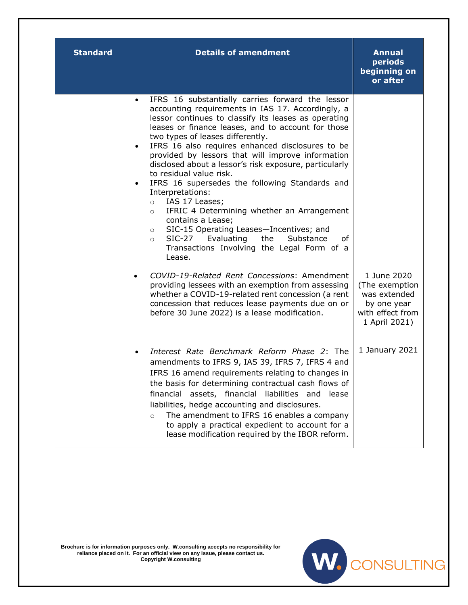| <b>Standard</b> | <b>Details of amendment</b>                                                                                                                                                                                                                                                                                                                                                                                                                                                                                                                                                                                                                                                                                                                                                                                                                                                                                                                                                                                                                                                                                                              | <b>Annual</b><br>periods<br>beginning on<br>or after                                              |
|-----------------|------------------------------------------------------------------------------------------------------------------------------------------------------------------------------------------------------------------------------------------------------------------------------------------------------------------------------------------------------------------------------------------------------------------------------------------------------------------------------------------------------------------------------------------------------------------------------------------------------------------------------------------------------------------------------------------------------------------------------------------------------------------------------------------------------------------------------------------------------------------------------------------------------------------------------------------------------------------------------------------------------------------------------------------------------------------------------------------------------------------------------------------|---------------------------------------------------------------------------------------------------|
|                 | IFRS 16 substantially carries forward the lessor<br>$\bullet$<br>accounting requirements in IAS 17. Accordingly, a<br>lessor continues to classify its leases as operating<br>leases or finance leases, and to account for those<br>two types of leases differently.<br>IFRS 16 also requires enhanced disclosures to be<br>$\bullet$<br>provided by lessors that will improve information<br>disclosed about a lessor's risk exposure, particularly<br>to residual value risk.<br>IFRS 16 supersedes the following Standards and<br>$\bullet$<br>Interpretations:<br>IAS 17 Leases;<br>$\circ$<br>IFRIC 4 Determining whether an Arrangement<br>$\circ$<br>contains a Lease;<br>SIC-15 Operating Leases-Incentives; and<br>$\circ$<br>Evaluating<br>$SIC-27$<br>the<br>Substance<br>οf<br>$\circ$<br>Transactions Involving the Legal Form of a<br>Lease.<br>COVID-19-Related Rent Concessions: Amendment<br>$\bullet$<br>providing lessees with an exemption from assessing<br>whether a COVID-19-related rent concession (a rent<br>concession that reduces lease payments due on or<br>before 30 June 2022) is a lease modification. | 1 June 2020<br>(The exemption<br>was extended<br>by one year<br>with effect from<br>1 April 2021) |
|                 | Interest Rate Benchmark Reform Phase 2: The<br>$\bullet$<br>amendments to IFRS 9, IAS 39, IFRS 7, IFRS 4 and<br>IFRS 16 amend requirements relating to changes in<br>the basis for determining contractual cash flows of<br>financial assets, financial liabilities and<br>lease<br>liabilities, hedge accounting and disclosures.<br>The amendment to IFRS 16 enables a company<br>$\circ$<br>to apply a practical expedient to account for a<br>lease modification required by the IBOR reform.                                                                                                                                                                                                                                                                                                                                                                                                                                                                                                                                                                                                                                        | 1 January 2021                                                                                    |

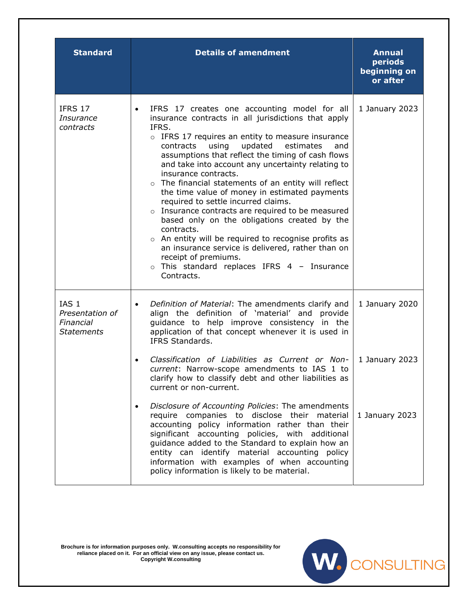| <b>Standard</b>                                                       | <b>Details of amendment</b>                                                                                                                                                                                                                                                                                                                                                                                                                                                                                                                                                                                                                                                                                                                                                                                                                      | <b>Annual</b><br>periods<br>beginning on<br>or after |
|-----------------------------------------------------------------------|--------------------------------------------------------------------------------------------------------------------------------------------------------------------------------------------------------------------------------------------------------------------------------------------------------------------------------------------------------------------------------------------------------------------------------------------------------------------------------------------------------------------------------------------------------------------------------------------------------------------------------------------------------------------------------------------------------------------------------------------------------------------------------------------------------------------------------------------------|------------------------------------------------------|
| IFRS 17<br>Insurance<br>contracts                                     | IFRS 17 creates one accounting model for all<br>$\bullet$<br>insurance contracts in all jurisdictions that apply<br>IFRS.<br>o IFRS 17 requires an entity to measure insurance<br>updated<br>contracts<br>using<br>estimates<br>and<br>assumptions that reflect the timing of cash flows<br>and take into account any uncertainty relating to<br>insurance contracts.<br>o The financial statements of an entity will reflect<br>the time value of money in estimated payments<br>required to settle incurred claims.<br>o Insurance contracts are required to be measured<br>based only on the obligations created by the<br>contracts.<br>o An entity will be required to recognise profits as<br>an insurance service is delivered, rather than on<br>receipt of premiums.<br>$\circ$ This standard replaces IFRS 4 - Insurance<br>Contracts. | 1 January 2023                                       |
| IAS <sub>1</sub><br>Presentation of<br>Financial<br><b>Statements</b> | Definition of Material: The amendments clarify and<br>align the definition of 'material' and provide<br>guidance to help improve consistency in the<br>application of that concept whenever it is used in<br>IFRS Standards.                                                                                                                                                                                                                                                                                                                                                                                                                                                                                                                                                                                                                     | 1 January 2020                                       |
|                                                                       | Classification of Liabilities as Current or Non-<br>current: Narrow-scope amendments to IAS 1 to<br>clarify how to classify debt and other liabilities as<br>current or non-current.                                                                                                                                                                                                                                                                                                                                                                                                                                                                                                                                                                                                                                                             | 1 January 2023                                       |
|                                                                       | Disclosure of Accounting Policies: The amendments<br>$\bullet$<br>require companies to disclose their material<br>accounting policy information rather than their<br>significant accounting policies, with additional<br>guidance added to the Standard to explain how an<br>entity can identify material accounting policy<br>information with examples of when accounting<br>policy information is likely to be material.                                                                                                                                                                                                                                                                                                                                                                                                                      | 1 January 2023                                       |

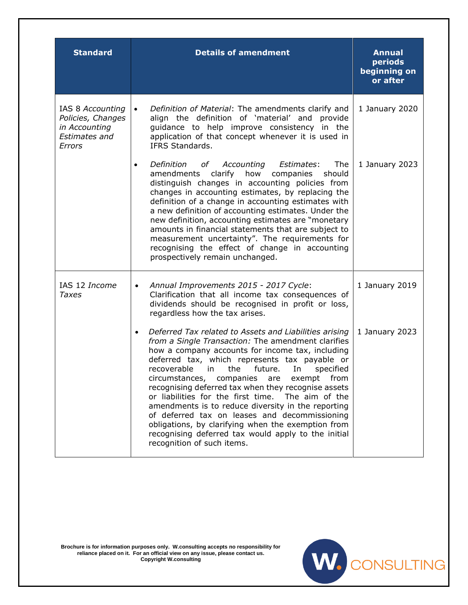| <b>Standard</b>                                                                          | <b>Details of amendment</b>                                                                                                                                                                                                                                                                                                                                                                                                                                                                                                                                                                                                                                                                  | <b>Annual</b><br>periods<br>beginning on<br>or after |
|------------------------------------------------------------------------------------------|----------------------------------------------------------------------------------------------------------------------------------------------------------------------------------------------------------------------------------------------------------------------------------------------------------------------------------------------------------------------------------------------------------------------------------------------------------------------------------------------------------------------------------------------------------------------------------------------------------------------------------------------------------------------------------------------|------------------------------------------------------|
| IAS 8 Accounting<br>Policies, Changes<br>in Accounting<br><b>Estimates and</b><br>Errors | Definition of Material: The amendments clarify and<br>$\bullet$<br>align the definition of 'material' and provide<br>guidance to help improve consistency in the<br>application of that concept whenever it is used in<br>IFRS Standards.                                                                                                                                                                                                                                                                                                                                                                                                                                                    | 1 January 2020                                       |
|                                                                                          | Definition<br>The<br>Accounting Estimates:<br>of<br>$\bullet$<br>clarify<br>how<br>amendments<br>companies<br>should<br>distinguish changes in accounting policies from<br>changes in accounting estimates, by replacing the<br>definition of a change in accounting estimates with<br>a new definition of accounting estimates. Under the<br>new definition, accounting estimates are "monetary<br>amounts in financial statements that are subject to<br>measurement uncertainty". The requirements for<br>recognising the effect of change in accounting<br>prospectively remain unchanged.                                                                                               | 1 January 2023                                       |
| IAS 12 Income<br>Taxes                                                                   | Annual Improvements 2015 - 2017 Cycle:<br>$\bullet$<br>Clarification that all income tax consequences of<br>dividends should be recognised in profit or loss,<br>regardless how the tax arises.                                                                                                                                                                                                                                                                                                                                                                                                                                                                                              | 1 January 2019                                       |
|                                                                                          | Deferred Tax related to Assets and Liabilities arising<br>from a Single Transaction: The amendment clarifies<br>how a company accounts for income tax, including<br>deferred tax, which represents tax payable or<br>future.<br>specified<br>recoverable<br>the<br>In<br>in.<br>circumstances, companies are exempt<br>from<br>recognising deferred tax when they recognise assets<br>or liabilities for the first time.<br>The aim of the<br>amendments is to reduce diversity in the reporting<br>of deferred tax on leases and decommissioning<br>obligations, by clarifying when the exemption from<br>recognising deferred tax would apply to the initial<br>recognition of such items. | 1 January 2023                                       |

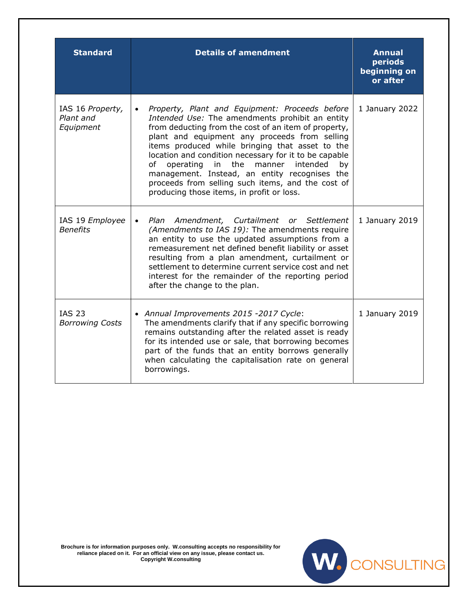| <b>Standard</b>                            | <b>Details of amendment</b>                                                                                                                                                                                                                                                                                                                                                                                                                                                                                                                        | <b>Annual</b><br>periods<br>beginning on<br>or after |
|--------------------------------------------|----------------------------------------------------------------------------------------------------------------------------------------------------------------------------------------------------------------------------------------------------------------------------------------------------------------------------------------------------------------------------------------------------------------------------------------------------------------------------------------------------------------------------------------------------|------------------------------------------------------|
| IAS 16 Property,<br>Plant and<br>Equipment | Property, Plant and Equipment: Proceeds before<br>$\bullet$<br>Intended Use: The amendments prohibit an entity<br>from deducting from the cost of an item of property,<br>plant and equipment any proceeds from selling<br>items produced while bringing that asset to the<br>location and condition necessary for it to be capable<br>the<br>of<br>operating<br>in<br>manner<br>intended<br>by<br>management. Instead, an entity recognises the<br>proceeds from selling such items, and the cost of<br>producing those items, in profit or loss. | 1 January 2022                                       |
| IAS 19 Employee<br><b>Benefits</b>         | Plan Amendment, Curtailment or Settlement<br>$\bullet$<br>(Amendments to IAS 19): The amendments require<br>an entity to use the updated assumptions from a<br>remeasurement net defined benefit liability or asset<br>resulting from a plan amendment, curtailment or<br>settlement to determine current service cost and net<br>interest for the remainder of the reporting period<br>after the change to the plan.                                                                                                                              | 1 January 2019                                       |
| <b>IAS 23</b><br><b>Borrowing Costs</b>    | • Annual Improvements 2015 -2017 Cycle:<br>The amendments clarify that if any specific borrowing<br>remains outstanding after the related asset is ready<br>for its intended use or sale, that borrowing becomes<br>part of the funds that an entity borrows generally<br>when calculating the capitalisation rate on general<br>borrowings.                                                                                                                                                                                                       | 1 January 2019                                       |

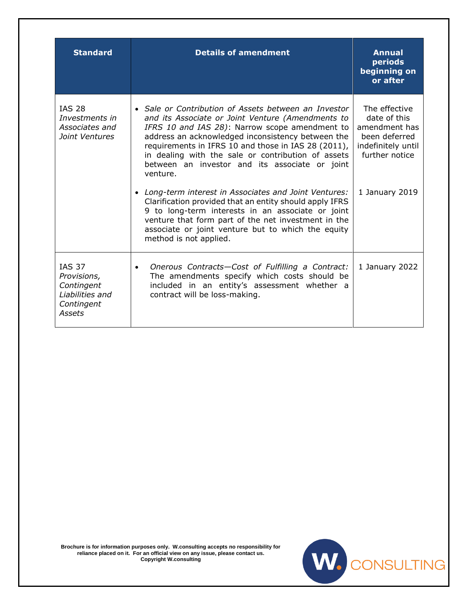| <b>Standard</b>                                                                       | <b>Details of amendment</b>                                                                                                                                                                                                                                                                                                                                                                 | <b>Annual</b><br>periods<br>beginning on<br>or after                                                    |
|---------------------------------------------------------------------------------------|---------------------------------------------------------------------------------------------------------------------------------------------------------------------------------------------------------------------------------------------------------------------------------------------------------------------------------------------------------------------------------------------|---------------------------------------------------------------------------------------------------------|
| <b>IAS 28</b><br>Investments in<br>Associates and<br>Joint Ventures                   | • Sale or Contribution of Assets between an Investor<br>and its Associate or Joint Venture (Amendments to<br>IFRS 10 and IAS 28): Narrow scope amendment to<br>address an acknowledged inconsistency between the<br>requirements in IFRS 10 and those in IAS 28 (2011),<br>in dealing with the sale or contribution of assets<br>between an investor and its associate or joint<br>venture. | The effective<br>date of this<br>amendment has<br>been deferred<br>indefinitely until<br>further notice |
|                                                                                       | Long-term interest in Associates and Joint Ventures:<br>Clarification provided that an entity should apply IFRS<br>9 to long-term interests in an associate or joint<br>venture that form part of the net investment in the<br>associate or joint venture but to which the equity<br>method is not applied.                                                                                 | 1 January 2019                                                                                          |
| <b>IAS 37</b><br>Provisions,<br>Contingent<br>Liabilities and<br>Contingent<br>Assets | Onerous Contracts-Cost of Fulfilling a Contract:<br>$\bullet$<br>The amendments specify which costs should be<br>included in an entity's assessment whether a<br>contract will be loss-making.                                                                                                                                                                                              | 1 January 2022                                                                                          |

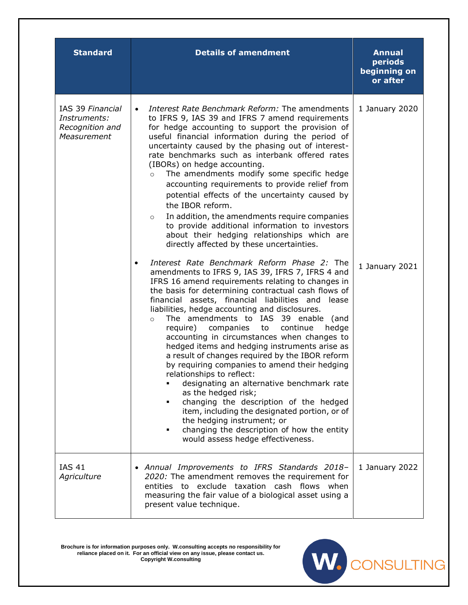| <b>Standard</b>                                                    | <b>Details of amendment</b>                                                                                                                                                                                                                                                                                                                                                                                                                                                                                                                                                                                                                                                                                                                                                                                                                                                                                                                                                                                                                                                                                                                                                                                                                                                                                                                                                                                                                                                                                                                                                                                                                                                                                        | <b>Annual</b><br>periods<br>beginning on<br>or after |
|--------------------------------------------------------------------|--------------------------------------------------------------------------------------------------------------------------------------------------------------------------------------------------------------------------------------------------------------------------------------------------------------------------------------------------------------------------------------------------------------------------------------------------------------------------------------------------------------------------------------------------------------------------------------------------------------------------------------------------------------------------------------------------------------------------------------------------------------------------------------------------------------------------------------------------------------------------------------------------------------------------------------------------------------------------------------------------------------------------------------------------------------------------------------------------------------------------------------------------------------------------------------------------------------------------------------------------------------------------------------------------------------------------------------------------------------------------------------------------------------------------------------------------------------------------------------------------------------------------------------------------------------------------------------------------------------------------------------------------------------------------------------------------------------------|------------------------------------------------------|
| IAS 39 Financial<br>Instruments:<br>Recognition and<br>Measurement | Interest Rate Benchmark Reform: The amendments<br>$\bullet$<br>to IFRS 9, IAS 39 and IFRS 7 amend requirements<br>for hedge accounting to support the provision of<br>useful financial information during the period of<br>uncertainty caused by the phasing out of interest-<br>rate benchmarks such as interbank offered rates<br>(IBORs) on hedge accounting.<br>The amendments modify some specific hedge<br>$\circ$<br>accounting requirements to provide relief from<br>potential effects of the uncertainty caused by<br>the IBOR reform.<br>In addition, the amendments require companies<br>$\circ$<br>to provide additional information to investors<br>about their hedging relationships which are<br>directly affected by these uncertainties.<br>Interest Rate Benchmark Reform Phase 2: The<br>amendments to IFRS 9, IAS 39, IFRS 7, IFRS 4 and<br>IFRS 16 amend requirements relating to changes in<br>the basis for determining contractual cash flows of<br>financial assets, financial liabilities and lease<br>liabilities, hedge accounting and disclosures.<br>The amendments to IAS 39 enable (and<br>$\circ$<br>require)<br>companies<br>to<br>continue<br>hedge<br>accounting in circumstances when changes to<br>hedged items and hedging instruments arise as<br>a result of changes required by the IBOR reform<br>by requiring companies to amend their hedging<br>relationships to reflect:<br>designating an alternative benchmark rate<br>٠<br>as the hedged risk;<br>changing the description of the hedged<br>٠<br>item, including the designated portion, or of<br>the hedging instrument; or<br>changing the description of how the entity<br>would assess hedge effectiveness. | 1 January 2020<br>1 January 2021                     |
| <b>IAS 41</b><br>Agriculture                                       | • Annual Improvements to IFRS Standards 2018-<br>2020: The amendment removes the requirement for<br>entities to exclude taxation cash flows when<br>measuring the fair value of a biological asset using a<br>present value technique.                                                                                                                                                                                                                                                                                                                                                                                                                                                                                                                                                                                                                                                                                                                                                                                                                                                                                                                                                                                                                                                                                                                                                                                                                                                                                                                                                                                                                                                                             | 1 January 2022                                       |